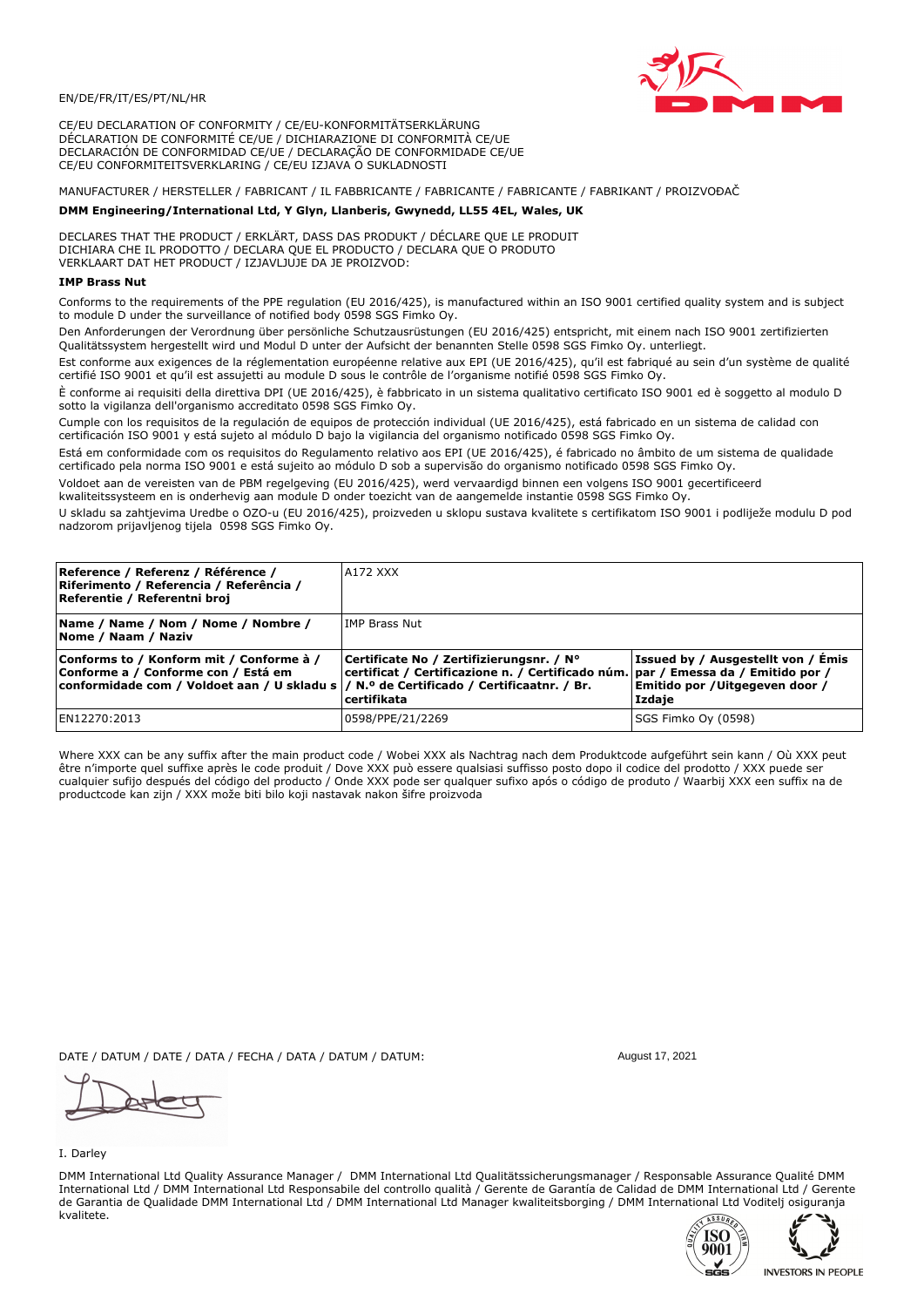

CE/EU DECLARATION OF CONFORMITY / CE/EU-KONFORMITÄTSERKLÄRUNG DÉCLARATION DE CONFORMITÉ CE/UE / DICHIARAZIONE DI CONFORMITÀ CE/UE DECLARACIÓN DE CONFORMIDAD CE/UE / DECLARAÇÃO DE CONFORMIDADE CE/UE CE/EU CONFORMITEITSVERKLARING / CE/EU IZJAVA O SUKLADNOSTI

# MANUFACTURER / HERSTELLER / FABRICANT / IL FABBRICANTE / FABRICANTE / FABRICANTE / FABRIKANT / PROIZVOĐAČ

## DMM Engineering/International Ltd, Y Glyn, Llanberis, Gwynedd, LL55 4EL, Wales, UK

DECLARES THAT THE PRODUCT / ERKLÄRT, DASS DAS PRODUKT / DÉCLARE QUE LE PRODUIT<br>DICHIARA CHE IL PRODOTTO / DECLARA QUE EL PRODUCTO / DECLARA QUE O PRODUTO VERKLAART DAT HET PRODUCT / IZJAVLJUJE DA JE PROIZVOD:

### **IMP Brass Nut**

Conforms to the requirements of the PPE regulation (EU 2016/425), is manufactured within an ISO 9001 certified quality system and is subject to module D under the surveillance of notified body 0598 SGS Fimko Ov.

Den Anforderungen der Verordnung über persönliche Schutzausrüstungen (EU 2016/425) entspricht, mit einem nach ISO 9001 zertifizierten Qualitätssystem hergestellt wird und Modul D unter der Aufsicht der benannten Stelle 0598 SGS Fimko Oy. unterliegt.

Est conforme aux exigences de la réglementation européenne relative aux EPI (UE 2016/425), qu'il est fabriqué au sein d'un système de qualité certifié ISO 9001 et qu'il est assujetti au module D sous le contrôle de l'organisme notifié 0598 SGS Fimko Oy.

È conforme ai requisiti della direttiva DPI (UE 2016/425), è fabbricato in un sistema qualitativo certificato ISO 9001 ed è soggetto al modulo D sotto la vigilanza dell'organismo accreditato 0598 SGS Fimko Oy.

Cumple con los requisitos de la regulación de equipos de protección individual (UE 2016/425), está fabricado en un sistema de calidad con certificación ISO 9001 y está sujeto al módulo D bajo la vigilancia del organismo notificado 0598 SGS Fimko Oy.

Está em conformidade com os requisitos do Regulamento relativo aos EPI (UE 2016/425), é fabricado no âmbito de um sistema de qualidade certificado pela norma ISO 9001 e está sujeito ao módulo D sob a supervisão do organismo notificado 0598 SGS Fimko Oy.

Voldoet aan de vereisten van de PBM regelgeving (EU 2016/425), werd vervaardigd binnen een volgens ISO 9001 gecertificeerd kwaliteitssysteem en is onderhevig aan module D onder toezicht van de aangemelde instantie 0598 SGS Fimko Oy.

U skladu sa zahtjevima Uredbe o OZO-u (EU 2016/425), proizveden u sklopu sustava kvalitete s certifikatom ISO 9001 i podliježe modulu D pod nadzorom prijavljenog tijela 0598 SGS Fimko Oy.

| Reference / Referenz / Référence /<br>Riferimento / Referencia / Referência /<br>Referentie / Referentni broj                                                               | A172 XXX                                                                                                                                     |                                                                                 |
|-----------------------------------------------------------------------------------------------------------------------------------------------------------------------------|----------------------------------------------------------------------------------------------------------------------------------------------|---------------------------------------------------------------------------------|
| Name / Name / Nom / Nome / Nombre /<br>Nome / Naam / Naziv                                                                                                                  | <b>IMP Brass Nut</b>                                                                                                                         |                                                                                 |
| Conforms to / Konform mit / Conforme à /<br>Conforme a / Conforme con / Está em<br>conformidade com / Voldoet aan / U skladu s  / N.º de Certificado / Certificaatnr. / Br. | Certificate No / Zertifizierungsnr. / N°<br>certificat / Certificazione n. / Certificado núm. par / Emessa da / Emitido por /<br>certifikata | Issued by / Ausgestellt von / Émis<br>Emitido por / Uitgegeven door /<br>Izdaje |
| EN12270:2013                                                                                                                                                                | 0598/PPE/21/2269                                                                                                                             | SGS Fimko Oy (0598)                                                             |

Where XXX can be any suffix after the main product code / Wobei XXX als Nachtrag nach dem Produktcode aufgeführt sein kann / Où XXX peut être n'importe quel suffixe après le code produit / Dove XXX può essere qualsiasi suffisso posto dopo il codice del prodotto / XXX puede ser<br>cualquier sufijo después del código del producto / Onde XXX pode ser qualquer suf productcode kan zijn / XXX može biti bilo koji nastavak nakon šifre proizvoda

DATE / DATUM / DATE / DATA / FECHA / DATA / DATUM / DATUM:

#### I. Darley

DMM International Ltd Quality Assurance Manager / DMM International Ltd Qualitätssicherungsmanager / Responsable Assurance Qualité DMM International Ltd / DMM International Ltd Responsabile del controllo qualità / Gerente de Garantía de Calidad de DMM International Ltd / Gerente de Garantia de Qualidade DMM International Ltd / DMM International Ltd Manager kwaliteitsborging / DMM International Ltd Voditelj osiguranja kvalitete.





August 17, 2021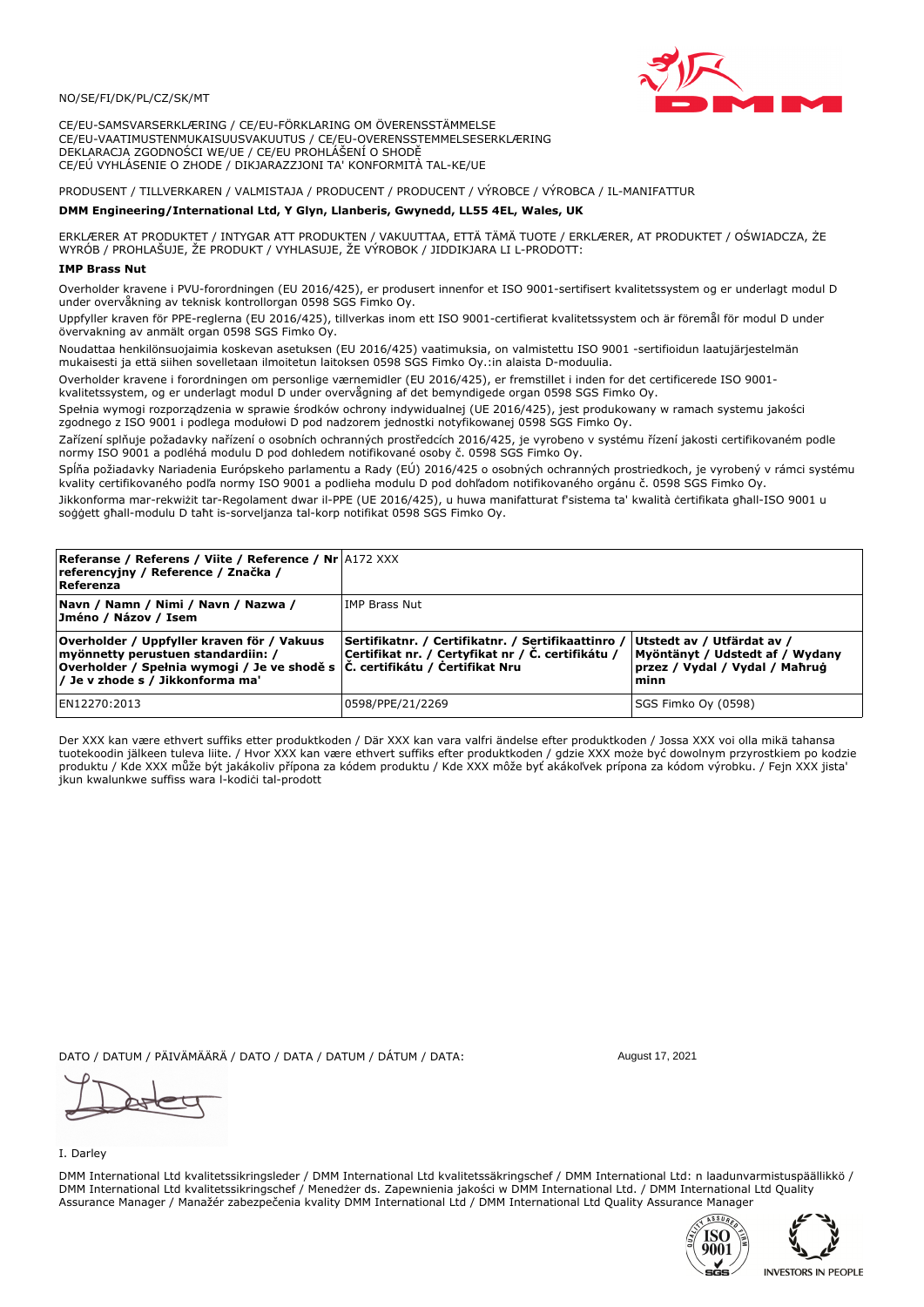

CE/EU-SAMSVARSERKLÆRING / CE/EU-FÖRKLARING OM ÖVERENSSTÄMMELSE CE/EU-VAATIMUSTENMUKAISUUSVAKUUTUS / CE/EU-OVERENSSTEMMELSESERKLÆRING DEKLARACJA ZGODNOŚCI WE/UE / CE/EU PROHLÁŠENÍ O SHODĚ CE/EÚ VYHLÁSENIE O ZHODE / DIKJARAZZJONI TA' KONFORMITÀ TAL-KE/UE

# PRODUSENT / TILLVERKAREN / VALMISTAJA / PRODUCENT / PRODUCENT / VÝROBCE / VÝROBCA / IL-MANIFATTUR

### DMM Engineering/International Ltd, Y Glyn, Llanberis, Gwynedd, LL55 4EL, Wales, UK

ERKLÆRER AT PRODUKTET / INTYGAR ATT PRODUKTEN / VAKUUTTAA, ETTÄ TÄMÄ TUOTE / ERKLÆRER, AT PRODUKTET / OŚWIADCZA, ŻE<br>WYRÓB / PROHLAŠUJE, ŽE PRODUKT / VYHLASUJE, ŽE VÝROBOK / JIDDIKJARA LI L-PRODOTT:

Overholder kravene i PVU-forordningen (EU 2016/425), er produsert innenfor et ISO 9001-sertifisert kvalitetssystem og er underlagt modul D under overvåkning av teknisk kontrollorgan 0598 SGS Fimko Ov.

Uppfyller kraven för PPE-reglerna (EU 2016/425), tillverkas inom ett ISO 9001-certifierat kvalitetssystem och är föremål för modul D under övervakning av anmält organ 0598 SGS Fimko Oy.

Noudattaa henkilönsuojaimia koskevan asetuksen (EU 2016/425) vaatimuksia, on valmistettu ISO 9001 -sertifioidun laatujärjestelmän mukaisesti ja että siihen sovelletaan ilmoitetun laitoksen 0598 SGS Fimko Oy.:in alaista D-moduulia.

Overholder kravene i forordningen om personlige værnemidler (EU 2016/425), er fremstillet i inden for det certificerede ISO 9001kvalitetssystem, og er underlagt modul D under overvågning af det bemyndigede organ 0598 SGS Fimko Oy.

Spełnia wymogi rozporządzenia w sprawie środków ochrony indywidualnej (UE 2016/425), jest produkowany w ramach systemu jakości zgodnego z ISO 9001 i podlega modułowi D pod nadzorem jednostki notyfikowanej 0598 SGS Fimko Oy.

Zařízení splňuje požadavky nařízení o osobních ochranných prostředcích 2016/425, je vyrobeno v systému řízení jakosti certifikovaném podle normy ISO 9001 a podléhá modulu D pod dohledem notifikované osoby č. 0598 SGS Fimko Oy.

Spĺňa požiadavky Nariadenia Európskeho parlamentu a Rady (EÚ) 2016/425 o osobných ochranných prostriedkoch, je vyrobený v rámci systému kvality certifikovaného podľa normy ISO 9001 a podlieha modulu D pod dohľadom notifikovaného orgánu č. 0598 SGS Fimko Oy.

Jikkonforma mar-rekwiżit tar-Regolament dwar il-PPE (UE 2016/425), u huwa manifatturat f'sistema ta' kwalità certifikata għall-ISO 9001 u soggett ghall-modulu D taht is-sorveljanza tal-korp notifikat 0598 SGS Fimko Oy.

| <b>Referanse / Referens / Viite / Reference / Nr A172 XXX</b><br>referencyjny / Reference / Značka /<br>Referenza                                                                                     |                                                                                                         |                                                                                                         |
|-------------------------------------------------------------------------------------------------------------------------------------------------------------------------------------------------------|---------------------------------------------------------------------------------------------------------|---------------------------------------------------------------------------------------------------------|
| Navn / Namn / Nimi / Navn / Nazwa /<br>Jméno / Názov / Isem                                                                                                                                           | lIMP Brass Nut                                                                                          |                                                                                                         |
| Overholder / Uppfyller kraven för / Vakuus<br>myönnetty perustuen standardiin: /<br> Overholder / Spełnia wymogi / Je ve shodě s  Č. certifikátu / Čertifikat Nru<br>/ Je v zhode s / Jikkonforma ma' | Sertifikatnr. / Certifikatnr. / Sertifikaattinro /<br>Certifikat nr. / Certyfikat nr / Č. certifikátu / | Utstedt av / Utfärdat av /<br>Myöntänyt / Udstedt af / Wydany<br>przez / Vydal / Vydal / Maħruġ<br>minn |
| EN12270:2013                                                                                                                                                                                          | 0598/PPE/21/2269                                                                                        | SGS Fimko Oy (0598)                                                                                     |

Der XXX kan være ethvert suffiks etter produktkoden / Där XXX kan vara valfri ändelse efter produktkoden / Jossa XXX voi olla mikä tahansa tuotekoodin jälkeen tuleva liite. / Hvor XXX kan være ethvert suffiks efter produktkoden / gdzie XXX może być dowolnym przyrostkiem po kodzie produktu / Kde XXX může být jakákoliv přípona za kódem produktu / Kde XXX môže byť akákoľvek prípona za kódom výrobku. / Fejn XXX jista jkun kwalunkwe suffiss wara l-kodici tal-prodott

DATO / DATUM / PÄIVÄMÄÄRÄ / DATO / DATA / DATUM / DÁTUM / DATA:

I. Darley

DMM International Ltd kvalitetssikringsleder / DMM International Ltd kvalitetssäkringschef / DMM International Ltd: n laadunvarmistuspäällikkö / DMM International Ltd kvalitetssikringschef / Menedzer ds. Zapewnienia jakości w DMM International Ltd. / DMM International Ltd Quality Assurance Manager / Manažér zabezpečenia kvality DMM International Ltd / DMM International Ltd Quality Assurance Manager





August 17, 2021